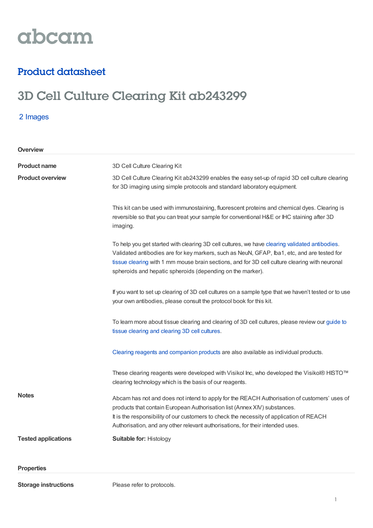

## Product datasheet

# 3D Cell Culture Clearing Kit ab243299

2 Images

| Overview                   |                                                                                                                                                                                                                                                                                                                                                               |
|----------------------------|---------------------------------------------------------------------------------------------------------------------------------------------------------------------------------------------------------------------------------------------------------------------------------------------------------------------------------------------------------------|
| <b>Product name</b>        | 3D Cell Culture Clearing Kit                                                                                                                                                                                                                                                                                                                                  |
| <b>Product overview</b>    | 3D Cell Culture Clearing Kit ab243299 enables the easy set-up of rapid 3D cell culture clearing<br>for 3D imaging using simple protocols and standard laboratory equipment.                                                                                                                                                                                   |
|                            | This kit can be used with immunostaining, fluorescent proteins and chemical dyes. Clearing is<br>reversible so that you can treat your sample for conventional H&E or IHC staining after 3D<br>imaging.                                                                                                                                                       |
|                            | To help you get started with clearing 3D cell cultures, we have clearing validated antibodies.<br>Validated antibodies are for key markers, such as NeuN, GFAP, Iba1, etc, and are tested for<br>tissue clearing with 1 mm mouse brain sections, and for 3D cell culture clearing with neuronal<br>spheroids and hepatic spheroids (depending on the marker). |
|                            | If you want to set up clearing of 3D cell cultures on a sample type that we haven't tested or to use<br>your own antibodies, please consult the protocol book for this kit.                                                                                                                                                                                   |
|                            | To learn more about tissue clearing and clearing of 3D cell cultures, please review our guide to<br>tissue clearing and clearing 3D cell cultures.                                                                                                                                                                                                            |
|                            | Clearing reagents and companion products are also available as individual products.                                                                                                                                                                                                                                                                           |
|                            | These clearing reagents were developed with Visikol Inc, who developed the Visikol® HISTO™<br>clearing technology which is the basis of our reagents.                                                                                                                                                                                                         |
| <b>Notes</b>               | Abcam has not and does not intend to apply for the REACH Authorisation of customers' uses of<br>products that contain European Authorisation list (Annex XIV) substances.<br>It is the responsibility of our customers to check the necessity of application of REACH<br>Authorisation, and any other relevant authorisations, for their intended uses.       |
| <b>Tested applications</b> | <b>Suitable for: Histology</b>                                                                                                                                                                                                                                                                                                                                |
| <b>Properties</b>          |                                                                                                                                                                                                                                                                                                                                                               |

**Storage instructions** Please refer to protocols.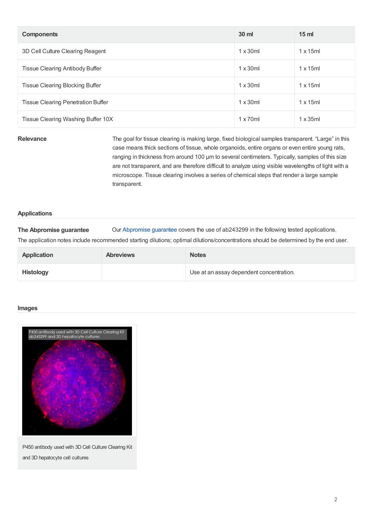| <b>Components</b>                         | 30 ml            | 15 <sub>ml</sub> |
|-------------------------------------------|------------------|------------------|
| 3D Cell Culture Clearing Reagent          | $1 \times 30$ ml | $1 \times 15$ ml |
| Tissue Clearing Antibody Buffer           | $1 \times 30$ ml | $1 \times 15$ ml |
| Tissue Clearing Blocking Buffer           | $1 \times 30$ ml | $1 \times 15$ ml |
| <b>Tissue Clearing Penetration Buffer</b> | $1 \times 30$ ml | $1 \times 15$ ml |
| Tissue Clearing Washing Buffer 10X        | $1 \times 70$ ml | x35ml            |

**Relevance** The goal for tissue clearing is making large, fixed biological samples transparent. "Large" in this case means thick sections of tissue, whole organoids, entire organs or even entire young rats, ranging in thickness from around 100 µm to several centimeters. Typically, samples of this size are not transparent, and are therefore difficult to analyze using visible wavelengths of light with a microscope. Tissue clearing involves a series of chemical steps that render a large sample transparent.

### **Applications**

**The Abpromise guarantee** Our [Abpromise](https://www.abcam.com/abpromise) guarantee covers the use of ab243299 in the following tested applications.

The application notes include recommended starting dilutions; optimal dilutions/concentrations should be determined by the end user.

| <b>Application</b> | <b>Abreviews</b> | <b>Notes</b>                             |
|--------------------|------------------|------------------------------------------|
| <b>Histology</b>   |                  | Use at an assay dependent concentration. |

### **Images**



P450 antibody used with 3D Cell Culture Clearing Kit and 3D hepatocyte cell cultures